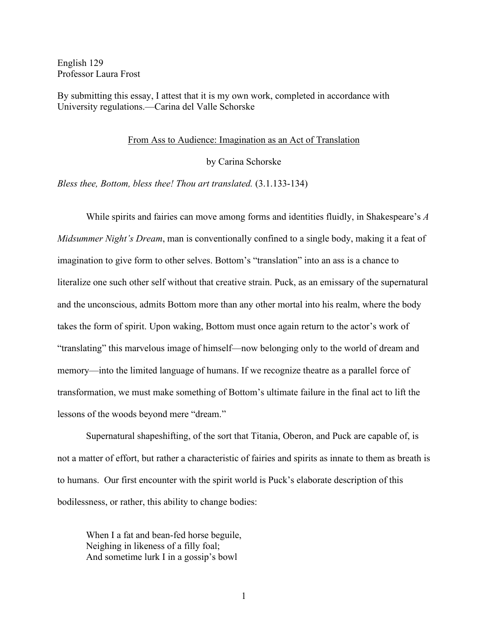English 129 Professor Laura Frost

By submitting this essay, I attest that it is my own work, completed in accordance with University regulations.—Carina del Valle Schorske

## From Ass to Audience: Imagination as an Act of Translation

by Carina Schorske

*Bless thee, Bottom, bless thee! Thou art translated.* (3.1.133-134)

While spirits and fairies can move among forms and identities fluidly, in Shakespeare's *A Midsummer Night's Dream*, man is conventionally confined to a single body, making it a feat of imagination to give form to other selves. Bottom's "translation" into an ass is a chance to literalize one such other self without that creative strain. Puck, as an emissary of the supernatural and the unconscious, admits Bottom more than any other mortal into his realm, where the body takes the form of spirit. Upon waking, Bottom must once again return to the actor's work of "translating" this marvelous image of himself—now belonging only to the world of dream and memory—into the limited language of humans. If we recognize theatre as a parallel force of transformation, we must make something of Bottom's ultimate failure in the final act to lift the lessons of the woods beyond mere "dream."

Supernatural shapeshifting, of the sort that Titania, Oberon, and Puck are capable of, is not a matter of effort, but rather a characteristic of fairies and spirits as innate to them as breath is to humans. Our first encounter with the spirit world is Puck's elaborate description of this bodilessness, or rather, this ability to change bodies:

When I a fat and bean-fed horse beguile, Neighing in likeness of a filly foal; And sometime lurk I in a gossip's bowl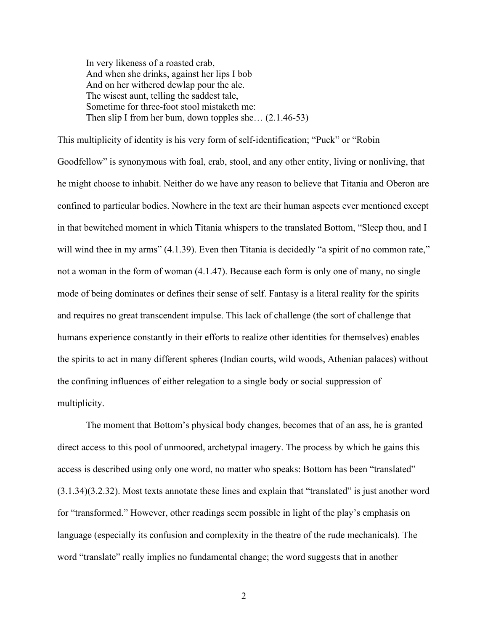In very likeness of a roasted crab, And when she drinks, against her lips I bob And on her withered dewlap pour the ale. The wisest aunt, telling the saddest tale, Sometime for three-foot stool mistaketh me: Then slip I from her bum, down topples she… (2.1.46-53)

This multiplicity of identity is his very form of self-identification; "Puck" or "Robin Goodfellow" is synonymous with foal, crab, stool, and any other entity, living or nonliving, that he might choose to inhabit. Neither do we have any reason to believe that Titania and Oberon are confined to particular bodies. Nowhere in the text are their human aspects ever mentioned except in that bewitched moment in which Titania whispers to the translated Bottom, "Sleep thou, and I will wind thee in my arms" (4.1.39). Even then Titania is decidedly "a spirit of no common rate," not a woman in the form of woman (4.1.47). Because each form is only one of many, no single mode of being dominates or defines their sense of self. Fantasy is a literal reality for the spirits and requires no great transcendent impulse. This lack of challenge (the sort of challenge that humans experience constantly in their efforts to realize other identities for themselves) enables the spirits to act in many different spheres (Indian courts, wild woods, Athenian palaces) without the confining influences of either relegation to a single body or social suppression of multiplicity.

The moment that Bottom's physical body changes, becomes that of an ass, he is granted direct access to this pool of unmoored, archetypal imagery. The process by which he gains this access is described using only one word, no matter who speaks: Bottom has been "translated" (3.1.34)(3.2.32). Most texts annotate these lines and explain that "translated" is just another word for "transformed." However, other readings seem possible in light of the play's emphasis on language (especially its confusion and complexity in the theatre of the rude mechanicals). The word "translate" really implies no fundamental change; the word suggests that in another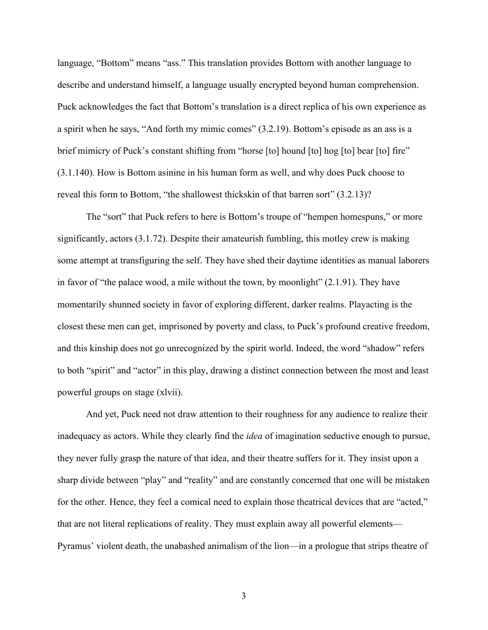language, "Bottom" means "ass." This translation provides Bottom with another language to describe and understand himself, a language usually encrypted beyond human comprehension. Puck acknowledges the fact that Bottom's translation is a direct replica of his own experience as a spirit when he says, "And forth my mimic comes" (3.2.19). Bottom's episode as an ass is a brief mimicry of Puck's constant shifting from "horse [to] hound [to] hog [to] bear [to] fire" (3.1.140). How is Bottom asinine in his human form as well, and why does Puck choose to reveal this form to Bottom, "the shallowest thickskin of that barren sort" (3.2.13)?

The "sort" that Puck refers to here is Bottom's troupe of "hempen homespuns," or more significantly, actors (3.1.72). Despite their amateurish fumbling, this motley crew is making some attempt at transfiguring the self. They have shed their daytime identities as manual laborers in favor of "the palace wood, a mile without the town, by moonlight" (2.1.91). They have momentarily shunned society in favor of exploring different, darker realms. Playacting is the closest these men can get, imprisoned by poverty and class, to Puck's profound creative freedom, and this kinship does not go unrecognized by the spirit world. Indeed, the word "shadow" refers to both "spirit" and "actor" in this play, drawing a distinct connection between the most and least powerful groups on stage (xlvii).

And yet, Puck need not draw attention to their roughness for any audience to realize their inadequacy as actors. While they clearly find the *idea* of imagination seductive enough to pursue, they never fully grasp the nature of that idea, and their theatre suffers for it. They insist upon a sharp divide between "play" and "reality" and are constantly concerned that one will be mistaken for the other. Hence, they feel a comical need to explain those theatrical devices that are "acted," that are not literal replications of reality. They must explain away all powerful elements— Pyramus' violent death, the unabashed animalism of the lion—in a prologue that strips theatre of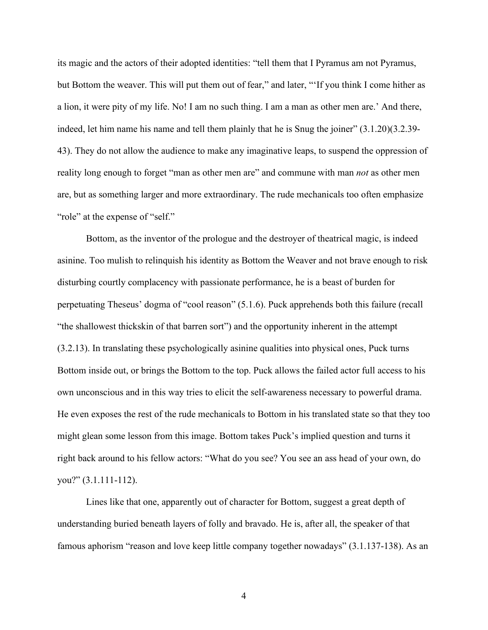its magic and the actors of their adopted identities: "tell them that I Pyramus am not Pyramus, but Bottom the weaver. This will put them out of fear," and later, "'If you think I come hither as a lion, it were pity of my life. No! I am no such thing. I am a man as other men are.' And there, indeed, let him name his name and tell them plainly that he is Snug the joiner" (3.1.20)(3.2.39- 43). They do not allow the audience to make any imaginative leaps, to suspend the oppression of reality long enough to forget "man as other men are" and commune with man *not* as other men are, but as something larger and more extraordinary. The rude mechanicals too often emphasize "role" at the expense of "self."

Bottom, as the inventor of the prologue and the destroyer of theatrical magic, is indeed asinine. Too mulish to relinquish his identity as Bottom the Weaver and not brave enough to risk disturbing courtly complacency with passionate performance, he is a beast of burden for perpetuating Theseus' dogma of "cool reason" (5.1.6). Puck apprehends both this failure (recall "the shallowest thickskin of that barren sort") and the opportunity inherent in the attempt (3.2.13). In translating these psychologically asinine qualities into physical ones, Puck turns Bottom inside out, or brings the Bottom to the top. Puck allows the failed actor full access to his own unconscious and in this way tries to elicit the self-awareness necessary to powerful drama. He even exposes the rest of the rude mechanicals to Bottom in his translated state so that they too might glean some lesson from this image. Bottom takes Puck's implied question and turns it right back around to his fellow actors: "What do you see? You see an ass head of your own, do you?" (3.1.111-112).

Lines like that one, apparently out of character for Bottom, suggest a great depth of understanding buried beneath layers of folly and bravado. He is, after all, the speaker of that famous aphorism "reason and love keep little company together nowadays" (3.1.137-138). As an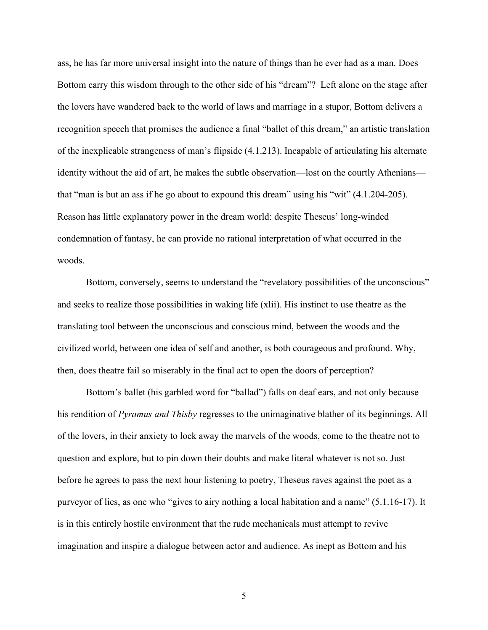ass, he has far more universal insight into the nature of things than he ever had as a man. Does Bottom carry this wisdom through to the other side of his "dream"? Left alone on the stage after the lovers have wandered back to the world of laws and marriage in a stupor, Bottom delivers a recognition speech that promises the audience a final "ballet of this dream," an artistic translation of the inexplicable strangeness of man's flipside (4.1.213). Incapable of articulating his alternate identity without the aid of art, he makes the subtle observation—lost on the courtly Athenians that "man is but an ass if he go about to expound this dream" using his "wit" (4.1.204-205). Reason has little explanatory power in the dream world: despite Theseus' long-winded condemnation of fantasy, he can provide no rational interpretation of what occurred in the woods.

Bottom, conversely, seems to understand the "revelatory possibilities of the unconscious" and seeks to realize those possibilities in waking life (xlii). His instinct to use theatre as the translating tool between the unconscious and conscious mind, between the woods and the civilized world, between one idea of self and another, is both courageous and profound. Why, then, does theatre fail so miserably in the final act to open the doors of perception?

Bottom's ballet (his garbled word for "ballad") falls on deaf ears, and not only because his rendition of *Pyramus and Thisby* regresses to the unimaginative blather of its beginnings. All of the lovers, in their anxiety to lock away the marvels of the woods, come to the theatre not to question and explore, but to pin down their doubts and make literal whatever is not so. Just before he agrees to pass the next hour listening to poetry, Theseus raves against the poet as a purveyor of lies, as one who "gives to airy nothing a local habitation and a name" (5.1.16-17). It is in this entirely hostile environment that the rude mechanicals must attempt to revive imagination and inspire a dialogue between actor and audience. As inept as Bottom and his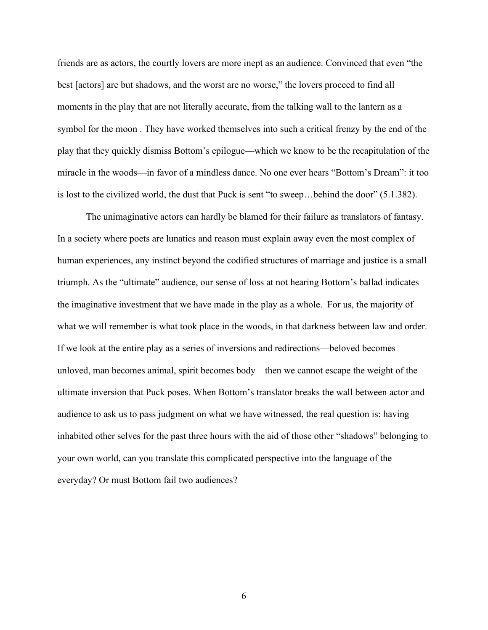friends are as actors, the courtly lovers are more inept as an audience. Convinced that even "the best [actors] are but shadows, and the worst are no worse," the lovers proceed to find all moments in the play that are not literally accurate, from the talking wall to the lantern as a symbol for the moon . They have worked themselves into such a critical frenzy by the end of the play that they quickly dismiss Bottom's epilogue—which we know to be the recapitulation of the miracle in the woods—in favor of a mindless dance. No one ever hears "Bottom's Dream": it too is lost to the civilized world, the dust that Puck is sent "to sweep…behind the door" (5.1.382).

The unimaginative actors can hardly be blamed for their failure as translators of fantasy. In a society where poets are lunatics and reason must explain away even the most complex of human experiences, any instinct beyond the codified structures of marriage and justice is a small triumph. As the "ultimate" audience, our sense of loss at not hearing Bottom's ballad indicates the imaginative investment that we have made in the play as a whole. For us, the majority of what we will remember is what took place in the woods, in that darkness between law and order. If we look at the entire play as a series of inversions and redirections—beloved becomes unloved, man becomes animal, spirit becomes body—then we cannot escape the weight of the ultimate inversion that Puck poses. When Bottom's translator breaks the wall between actor and audience to ask us to pass judgment on what we have witnessed, the real question is: having inhabited other selves for the past three hours with the aid of those other "shadows" belonging to your own world, can you translate this complicated perspective into the language of the everyday? Or must Bottom fail two audiences?